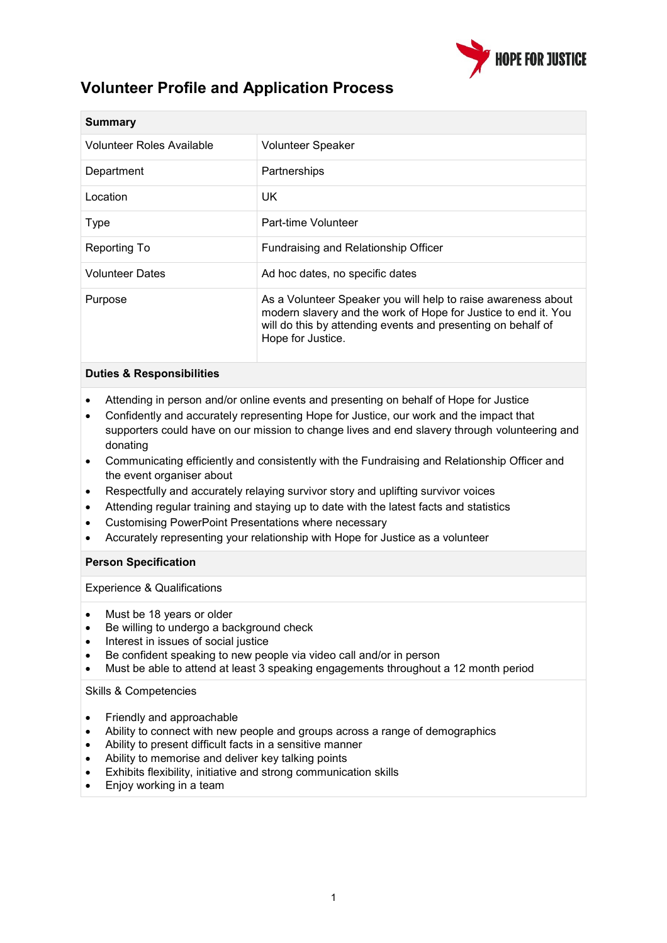

## **Volunteer Profile and Application Process**

| <b>Summary</b>            |                                                                                                                                                                                                                      |
|---------------------------|----------------------------------------------------------------------------------------------------------------------------------------------------------------------------------------------------------------------|
| Volunteer Roles Available | <b>Volunteer Speaker</b>                                                                                                                                                                                             |
| Department                | Partnerships                                                                                                                                                                                                         |
| Location                  | UK.                                                                                                                                                                                                                  |
| Type                      | Part-time Volunteer                                                                                                                                                                                                  |
| Reporting To              | Fundraising and Relationship Officer                                                                                                                                                                                 |
| <b>Volunteer Dates</b>    | Ad hoc dates, no specific dates                                                                                                                                                                                      |
| Purpose                   | As a Volunteer Speaker you will help to raise awareness about<br>modern slavery and the work of Hope for Justice to end it. You<br>will do this by attending events and presenting on behalf of<br>Hope for Justice. |

## **Duties & Responsibilities**

- Attending in person and/or online events and presenting on behalf of Hope for Justice
- Confidently and accurately representing Hope for Justice, our work and the impact that supporters could have on our mission to change lives and end slavery through volunteering and donating
- Communicating efficiently and consistently with the Fundraising and Relationship Officer and the event organiser about
- Respectfully and accurately relaying survivor story and uplifting survivor voices
- Attending regular training and staying up to date with the latest facts and statistics
- Customising PowerPoint Presentations where necessary
- Accurately representing your relationship with Hope for Justice as a volunteer

## **Person Specification**

Experience & Qualifications

- Must be 18 years or older
- Be willing to undergo a background check
- Interest in issues of social justice
- Be confident speaking to new people via video call and/or in person
- Must be able to attend at least 3 speaking engagements throughout a 12 month period

Skills & Competencies

- Friendly and approachable
- Ability to connect with new people and groups across a range of demographics
- Ability to present difficult facts in a sensitive manner
- Ability to memorise and deliver key talking points
- Exhibits flexibility, initiative and strong communication skills
- Enjoy working in a team